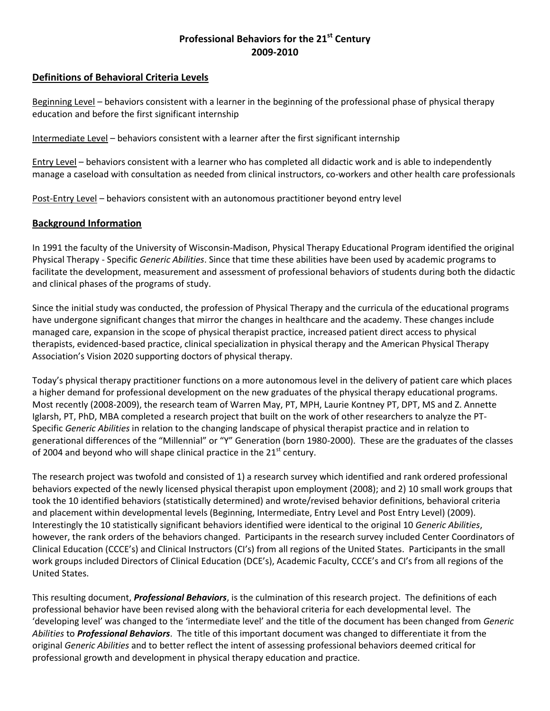# **Professional Behaviors for the 21st Century 2009-2010**

## **Definitions of Behavioral Criteria Levels**

Beginning Level – behaviors consistent with a learner in the beginning of the professional phase of physical therapy education and before the first significant internship

Intermediate Level – behaviors consistent with a learner after the first significant internship

Entry Level – behaviors consistent with a learner who has completed all didactic work and is able to independently manage a caseload with consultation as needed from clinical instructors, co-workers and other health care professionals

Post-Entry Level – behaviors consistent with an autonomous practitioner beyond entry level

### **Background Information**

In 1991 the faculty of the University of Wisconsin-Madison, Physical Therapy Educational Program identified the original Physical Therapy - Specific *Generic Abilities*. Since that time these abilities have been used by academic programs to facilitate the development, measurement and assessment of professional behaviors of students during both the didactic and clinical phases of the programs of study.

Since the initial study was conducted, the profession of Physical Therapy and the curricula of the educational programs have undergone significant changes that mirror the changes in healthcare and the academy. These changes include managed care, expansion in the scope of physical therapist practice, increased patient direct access to physical therapists, evidenced-based practice, clinical specialization in physical therapy and the American Physical Therapy Association's Vision 2020 supporting doctors of physical therapy.

Today's physical therapy practitioner functions on a more autonomous level in the delivery of patient care which places a higher demand for professional development on the new graduates of the physical therapy educational programs. Most recently (2008-2009), the research team of Warren May, PT, MPH, Laurie Kontney PT, DPT, MS and Z. Annette Iglarsh, PT, PhD, MBA completed a research project that built on the work of other researchers to analyze the PT-Specific *Generic Abilities* in relation to the changing landscape of physical therapist practice and in relation to generational differences of the "Millennial" or "Y" Generation (born 1980-2000). These are the graduates of the classes of 2004 and beyond who will shape clinical practice in the  $21<sup>st</sup>$  century.

The research project was twofold and consisted of 1) a research survey which identified and rank ordered professional behaviors expected of the newly licensed physical therapist upon employment (2008); and 2) 10 small work groups that took the 10 identified behaviors (statistically determined) and wrote/revised behavior definitions, behavioral criteria and placement within developmental levels (Beginning, Intermediate, Entry Level and Post Entry Level) (2009). Interestingly the 10 statistically significant behaviors identified were identical to the original 10 *Generic Abilities*, however, the rank orders of the behaviors changed. Participants in the research survey included Center Coordinators of Clinical Education (CCCE's) and Clinical Instructors (CI's) from all regions of the United States. Participants in the small work groups included Directors of Clinical Education (DCE's), Academic Faculty, CCCE's and CI's from all regions of the United States.

This resulting document, *Professional Behaviors*, is the culmination of this research project. The definitions of each professional behavior have been revised along with the behavioral criteria for each developmental level. The 'developing level' was changed to the 'intermediate level' and the title of the document has been changed from *Generic Abilities* to *Professional Behaviors*. The title of this important document was changed to differentiate it from the original *Generic Abilities* and to better reflect the intent of assessing professional behaviors deemed critical for professional growth and development in physical therapy education and practice.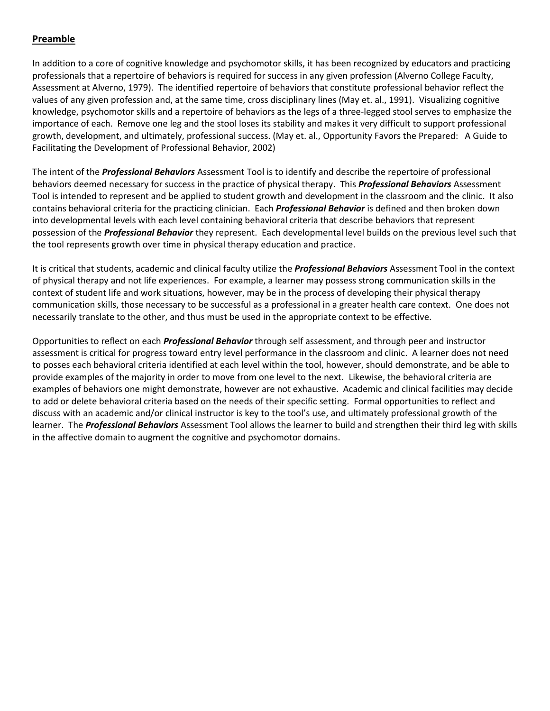# **Preamble**

In addition to a core of cognitive knowledge and psychomotor skills, it has been recognized by educators and practicing professionals that a repertoire of behaviors is required for success in any given profession (Alverno College Faculty, Assessment at Alverno, 1979). The identified repertoire of behaviors that constitute professional behavior reflect the values of any given profession and, at the same time, cross disciplinary lines (May et. al., 1991). Visualizing cognitive knowledge, psychomotor skills and a repertoire of behaviors as the legs of a three-legged stool serves to emphasize the importance of each. Remove one leg and the stool loses its stability and makes it very difficult to support professional growth, development, and ultimately, professional success. (May et. al., Opportunity Favors the Prepared: A Guide to Facilitating the Development of Professional Behavior, 2002)

The intent of the *Professional Behaviors* Assessment Tool is to identify and describe the repertoire of professional behaviors deemed necessary for success in the practice of physical therapy. This *Professional Behaviors* Assessment Tool is intended to represent and be applied to student growth and development in the classroom and the clinic. It also contains behavioral criteria for the practicing clinician. Each *Professional Behavior* is defined and then broken down into developmental levels with each level containing behavioral criteria that describe behaviors that represent possession of the *Professional Behavior* they represent. Each developmental level builds on the previous level such that the tool represents growth over time in physical therapy education and practice.

It is critical that students, academic and clinical faculty utilize the *Professional Behaviors* Assessment Tool in the context of physical therapy and not life experiences. For example, a learner may possess strong communication skills in the context of student life and work situations, however, may be in the process of developing their physical therapy communication skills, those necessary to be successful as a professional in a greater health care context. One does not necessarily translate to the other, and thus must be used in the appropriate context to be effective.

Opportunities to reflect on each *Professional Behavior* through self assessment, and through peer and instructor assessment is critical for progress toward entry level performance in the classroom and clinic. A learner does not need to posses each behavioral criteria identified at each level within the tool, however, should demonstrate, and be able to provide examples of the majority in order to move from one level to the next. Likewise, the behavioral criteria are examples of behaviors one might demonstrate, however are not exhaustive. Academic and clinical facilities may decide to add or delete behavioral criteria based on the needs of their specific setting. Formal opportunities to reflect and discuss with an academic and/or clinical instructor is key to the tool's use, and ultimately professional growth of the learner. The *Professional Behaviors* Assessment Tool allows the learner to build and strengthen their third leg with skills in the affective domain to augment the cognitive and psychomotor domains.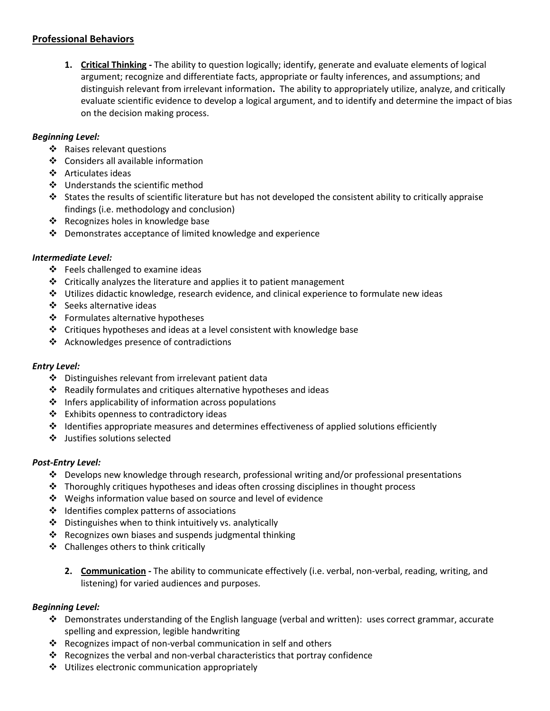# **Professional Behaviors**

**1. Critical Thinking -** The ability to question logically; identify, generate and evaluate elements of logical argument; recognize and differentiate facts, appropriate or faulty inferences, and assumptions; and distinguish relevant from irrelevant information**.** The ability to appropriately utilize, analyze, and critically evaluate scientific evidence to develop a logical argument, and to identify and determine the impact of bias on the decision making process.

# *Beginning Level:*

- ❖ Raises relevant questions
- ❖ Considers all available information
- ❖ Articulates ideas
- ❖ Understands the scientific method
- States the results of scientific literature but has not developed the consistent ability to critically appraise findings (i.e. methodology and conclusion)
- ❖ Recognizes holes in knowledge base
- Demonstrates acceptance of limited knowledge and experience

# *Intermediate Level:*

- $\div$  Feels challenged to examine ideas
- $\triangleleft$  Critically analyzes the literature and applies it to patient management
- $\div$  Utilizes didactic knowledge, research evidence, and clinical experience to formulate new ideas
- ❖ Seeks alternative ideas
- ❖ Formulates alternative hypotheses
- ❖ Critiques hypotheses and ideas at a level consistent with knowledge base
- ❖ Acknowledges presence of contradictions

# *Entry Level:*

- Distinguishes relevant from irrelevant patient data
- Readily formulates and critiques alternative hypotheses and ideas
- $\triangleq$  Infers applicability of information across populations
- Exhibits openness to contradictory ideas
- $\div$  Identifies appropriate measures and determines effectiveness of applied solutions efficiently
- Justifies solutions selected

# *Post-Entry Level:*

- $\clubsuit$  Develops new knowledge through research, professional writing and/or professional presentations
- $\div$  Thoroughly critiques hypotheses and ideas often crossing disciplines in thought process
- Weighs information value based on source and level of evidence
- ❖ Identifies complex patterns of associations
- Distinguishes when to think intuitively vs. analytically
- $\cdot$  Recognizes own biases and suspends judgmental thinking
- ❖ Challenges others to think critically
	- **2. Communication -** The ability to communicate effectively (i.e. verbal, non-verbal, reading, writing, and listening) for varied audiences and purposes.

# *Beginning Level:*

- $\div$  Demonstrates understanding of the English language (verbal and written): uses correct grammar, accurate spelling and expression, legible handwriting
- $\triangleleft$  Recognizes impact of non-verbal communication in self and others
- Recognizes the verbal and non-verbal characteristics that portray confidence
- ❖ Utilizes electronic communication appropriately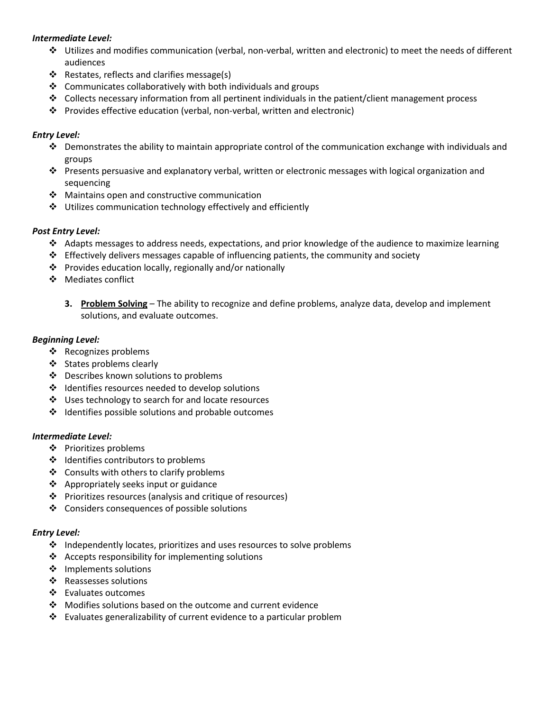### *Intermediate Level:*

- Utilizes and modifies communication (verbal, non-verbal, written and electronic) to meet the needs of different audiences
- ❖ Restates, reflects and clarifies message(s)
- $\triangleleft$  Communicates collaboratively with both individuals and groups
- Collects necessary information from all pertinent individuals in the patient/client management process
- Provides effective education (verbal, non-verbal, written and electronic)

### *Entry Level:*

- $\div$  Demonstrates the ability to maintain appropriate control of the communication exchange with individuals and groups
- Presents persuasive and explanatory verbal, written or electronic messages with logical organization and sequencing
- $\mathbf{\hat{P}}$  Maintains open and constructive communication
- Utilizes communication technology effectively and efficiently

### *Post Entry Level:*

- Adapts messages to address needs, expectations, and prior knowledge of the audience to maximize learning
- $\div$  Effectively delivers messages capable of influencing patients, the community and society
- $\cdot \cdot$  Provides education locally, regionally and/or nationally
- ❖ Mediates conflict
	- **3. Problem Solving** The ability to recognize and define problems, analyze data, develop and implement solutions, and evaluate outcomes.

### *Beginning Level:*

- ❖ Recognizes problems
- ❖ States problems clearly
- ❖ Describes known solutions to problems
- $\cdot \cdot$  Identifies resources needed to develop solutions
- ❖ Uses technology to search for and locate resources
- $\cdot \cdot$  Identifies possible solutions and probable outcomes

### *Intermediate Level:*

- Prioritizes problems
- ❖ Identifies contributors to problems
- ❖ Consults with others to clarify problems
- ❖ Appropriately seeks input or guidance
- Prioritizes resources (analysis and critique of resources)
- ❖ Considers consequences of possible solutions

### *Entry Level:*

- $\div$  Independently locates, prioritizes and uses resources to solve problems
- $\triangleleft$  Accepts responsibility for implementing solutions
- ❖ Implements solutions
- ❖ Reassesses solutions
- Evaluates outcomes
- Modifies solutions based on the outcome and current evidence
- Evaluates generalizability of current evidence to a particular problem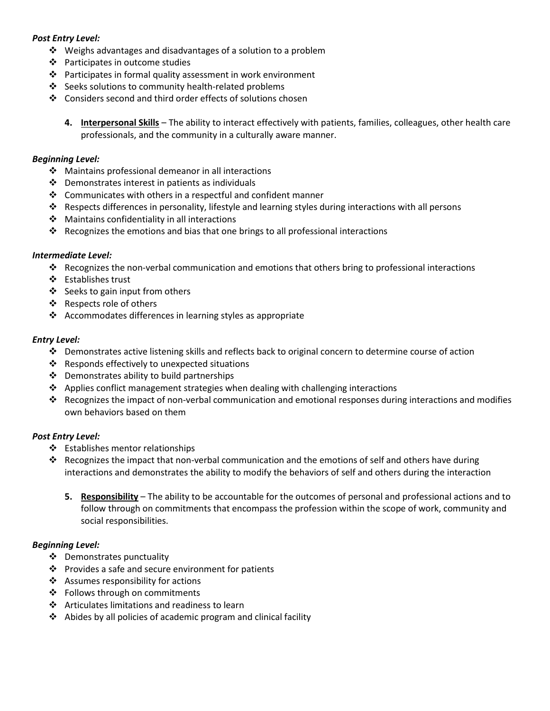### *Post Entry Level:*

- $\cdot$  Weighs advantages and disadvantages of a solution to a problem
- Participates in outcome studies
- $\cdot \cdot$  Participates in formal quality assessment in work environment
- ❖ Seeks solutions to community health-related problems
- Considers second and third order effects of solutions chosen
	- **4. Interpersonal Skills** The ability to interact effectively with patients, families, colleagues, other health care professionals, and the community in a culturally aware manner.

### *Beginning Level:*

- ❖ Maintains professional demeanor in all interactions
- $\cdot \cdot$  Demonstrates interest in patients as individuals
- $\cdot$  Communicates with others in a respectful and confident manner
- Respects differences in personality, lifestyle and learning styles during interactions with all persons
- ❖ Maintains confidentiality in all interactions
- Recognizes the emotions and bias that one brings to all professional interactions

### *Intermediate Level:*

- Recognizes the non-verbal communication and emotions that others bring to professional interactions
- ❖ Establishes trust
- ❖ Seeks to gain input from others
- ❖ Respects role of others
- Accommodates differences in learning styles as appropriate

### *Entry Level:*

- $\div$  Demonstrates active listening skills and reflects back to original concern to determine course of action
- $\cdot$  Responds effectively to unexpected situations
- $\div$  Demonstrates ability to build partnerships
- $\triangle$  Applies conflict management strategies when dealing with challenging interactions
- Recognizes the impact of non-verbal communication and emotional responses during interactions and modifies own behaviors based on them

### *Post Entry Level:*

- ❖ Establishes mentor relationships
- Recognizes the impact that non-verbal communication and the emotions of self and others have during interactions and demonstrates the ability to modify the behaviors of self and others during the interaction
	- **5. Responsibility** The ability to be accountable for the outcomes of personal and professional actions and to follow through on commitments that encompass the profession within the scope of work, community and social responsibilities.

### *Beginning Level:*

- Demonstrates punctuality
- $\mathbf{\hat{P}}$  Provides a safe and secure environment for patients
- $\triangleleft$  Assumes responsibility for actions
- ❖ Follows through on commitments
- ❖ Articulates limitations and readiness to learn
- Abides by all policies of academic program and clinical facility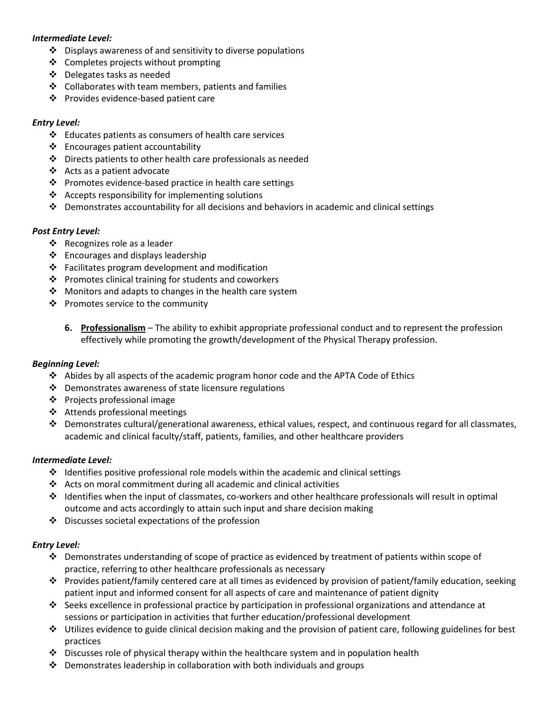### *Intermediate Level:*

- $\cdot \cdot$  Displays awareness of and sensitivity to diverse populations
- ❖ Completes projects without prompting
- Delegates tasks as needed
- $\div$  Collaborates with team members, patients and families
- ❖ Provides evidence-based patient care

### *Entry Level:*

- $\cdot \cdot$  Educates patients as consumers of health care services
- Encourages patient accountability
- $\cdot \cdot$  Directs patients to other health care professionals as needed
- Acts as a patient advocate
- $\cdot \cdot$  Promotes evidence-based practice in health care settings
- $\triangleleft$  Accepts responsibility for implementing solutions
- $\clubsuit$  Demonstrates accountability for all decisions and behaviors in academic and clinical settings

### *Post Entry Level:*

- ❖ Recognizes role as a leader
- $\triangleleft$  Encourages and displays leadership
- $\cdot \cdot$  Facilitates program development and modification
- $\cdot \cdot$  Promotes clinical training for students and coworkers
- ❖ Monitors and adapts to changes in the health care system
- $\mathbf{\hat{P}}$  Promotes service to the community
	- **6. Professionalism** The ability to exhibit appropriate professional conduct and to represent the profession effectively while promoting the growth/development of the Physical Therapy profession.

### *Beginning Level:*

- $\triangle$  Abides by all aspects of the academic program honor code and the APTA Code of Ethics
- $\cdot \cdot$  Demonstrates awareness of state licensure regulations
- ❖ Projects professional image
- **❖** Attends professional meetings
- Demonstrates cultural/generational awareness, ethical values, respect, and continuous regard for all classmates, academic and clinical faculty/staff, patients, families, and other healthcare providers

### *Intermediate Level:*

- $\div$  Identifies positive professional role models within the academic and clinical settings
- Acts on moral commitment during all academic and clinical activities
- $\clubsuit$  Identifies when the input of classmates, co-workers and other healthcare professionals will result in optimal outcome and acts accordingly to attain such input and share decision making
- $\clubsuit$  Discusses societal expectations of the profession

# *Entry Level:*

- Demonstrates understanding of scope of practice as evidenced by treatment of patients within scope of practice, referring to other healthcare professionals as necessary
- Provides patient/family centered care at all times as evidenced by provision of patient/family education, seeking patient input and informed consent for all aspects of care and maintenance of patient dignity
- Seeks excellence in professional practice by participation in professional organizations and attendance at sessions or participation in activities that further education/professional development
- Utilizes evidence to guide clinical decision making and the provision of patient care, following guidelines for best practices
- $\clubsuit$  Discusses role of physical therapy within the healthcare system and in population health
- $\cdot$  Demonstrates leadership in collaboration with both individuals and groups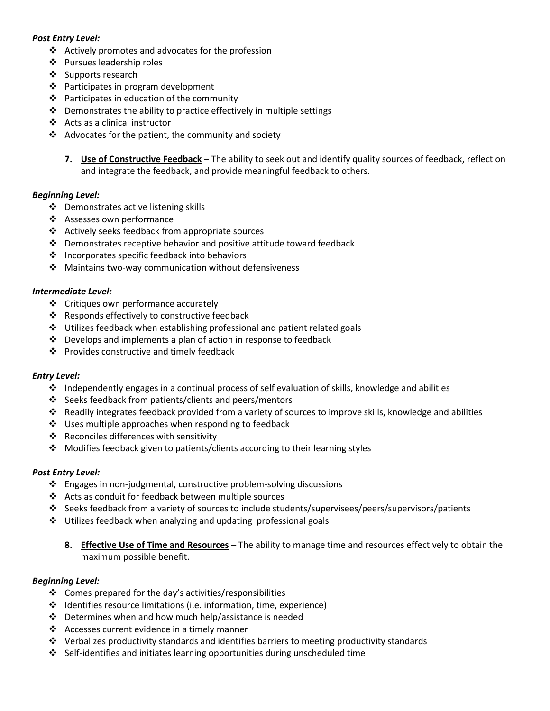### *Post Entry Level:*

- $\triangleleft$  Actively promotes and advocates for the profession
- Pursues leadership roles
- ❖ Supports research
- ❖ Participates in program development
- $\cdot \cdot$  Participates in education of the community
- $\cdot \cdot$  Demonstrates the ability to practice effectively in multiple settings
- Acts as a clinical instructor
- $\triangleleft$  Advocates for the patient, the community and society
	- **7. Use of Constructive Feedback** The ability to seek out and identify quality sources of feedback, reflect on and integrate the feedback, and provide meaningful feedback to others.

### *Beginning Level:*

- ❖ Demonstrates active listening skills
- ❖ Assesses own performance
- Actively seeks feedback from appropriate sources
- Demonstrates receptive behavior and positive attitude toward feedback
- $\cdot$  Incorporates specific feedback into behaviors
- ❖ Maintains two-way communication without defensiveness

### *Intermediate Level:*

- ❖ Critiques own performance accurately
- Responds effectively to constructive feedback
- $\cdot$  Utilizes feedback when establishing professional and patient related goals
- $\cdot \cdot$  Develops and implements a plan of action in response to feedback
- ❖ Provides constructive and timely feedback

### *Entry Level:*

- $\div$  Independently engages in a continual process of self evaluation of skills, knowledge and abilities
- ❖ Seeks feedback from patients/clients and peers/mentors
- $\clubsuit$  Readily integrates feedback provided from a variety of sources to improve skills, knowledge and abilities
- ❖ Uses multiple approaches when responding to feedback
- ❖ Reconciles differences with sensitivity
- Modifies feedback given to patients/clients according to their learning styles

### *Post Entry Level:*

- Engages in non-judgmental, constructive problem-solving discussions
- Acts as conduit for feedback between multiple sources
- Seeks feedback from a variety of sources to include students/supervisees/peers/supervisors/patients
- $\div$  Utilizes feedback when analyzing and updating professional goals
	- **8. Effective Use of Time and Resources** The ability to manage time and resources effectively to obtain the maximum possible benefit.

### *Beginning Level:*

- $\div$  Comes prepared for the day's activities/responsibilities
- $\div$  Identifies resource limitations (i.e. information, time, experience)
- $\cdot \cdot$  Determines when and how much help/assistance is needed
- ❖ Accesses current evidence in a timely manner
- $\div$  Verbalizes productivity standards and identifies barriers to meeting productivity standards
- $\div$  Self-identifies and initiates learning opportunities during unscheduled time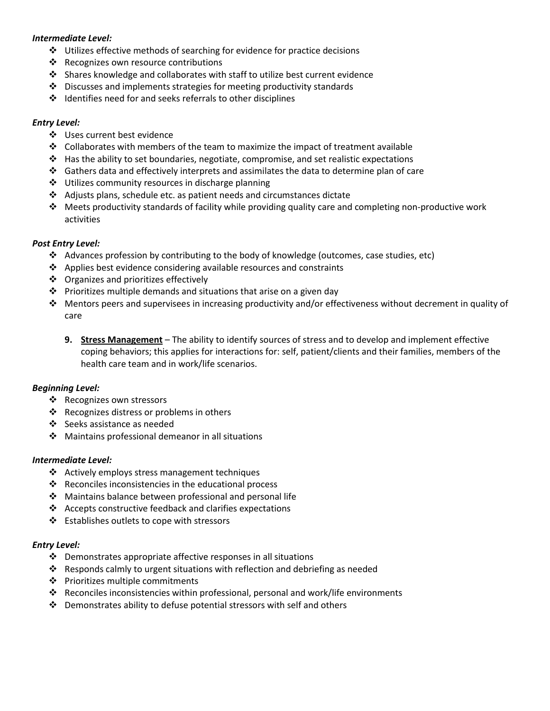### *Intermediate Level:*

- $\cdot$  Utilizes effective methods of searching for evidence for practice decisions
- $\cdot \cdot$  Recognizes own resource contributions
- $\div$  Shares knowledge and collaborates with staff to utilize best current evidence
- Discusses and implements strategies for meeting productivity standards
- $\cdot \cdot$  Identifies need for and seeks referrals to other disciplines

### *Entry Level:*

- ❖ Uses current best evidence
- $\div$  Collaborates with members of the team to maximize the impact of treatment available
- $\cdot \cdot$  Has the ability to set boundaries, negotiate, compromise, and set realistic expectations
- $\clubsuit$  Gathers data and effectively interprets and assimilates the data to determine plan of care
- $\cdot \cdot$  Utilizes community resources in discharge planning
- $\triangleleft$  Adjusts plans, schedule etc. as patient needs and circumstances dictate
- Meets productivity standards of facility while providing quality care and completing non-productive work activities

### *Post Entry Level:*

- Advances profession by contributing to the body of knowledge (outcomes, case studies, etc)
- $\triangleleft$  Applies best evidence considering available resources and constraints
- $\triangleleft$  Organizes and prioritizes effectively
- $\cdot \cdot$  Prioritizes multiple demands and situations that arise on a given day
- $\clubsuit$  Mentors peers and supervisees in increasing productivity and/or effectiveness without decrement in quality of care
	- **9. Stress Management** The ability to identify sources of stress and to develop and implement effective coping behaviors; this applies for interactions for: self, patient/clients and their families, members of the health care team and in work/life scenarios.

# *Beginning Level:*

- ❖ Recognizes own stressors
- $\cdot \cdot$  Recognizes distress or problems in others
- Seeks assistance as needed
- $\clubsuit$  Maintains professional demeanor in all situations

### *Intermediate Level:*

- $\triangleleft$  Actively employs stress management techniques
- ❖ Reconciles inconsistencies in the educational process
- Maintains balance between professional and personal life
- $\triangleleft$  Accepts constructive feedback and clarifies expectations
- ❖ Establishes outlets to cope with stressors

### *Entry Level:*

- $\cdot \cdot$  Demonstrates appropriate affective responses in all situations
- Responds calmly to urgent situations with reflection and debriefing as needed
- ❖ Prioritizes multiple commitments
- Reconciles inconsistencies within professional, personal and work/life environments
- Demonstrates ability to defuse potential stressors with self and others